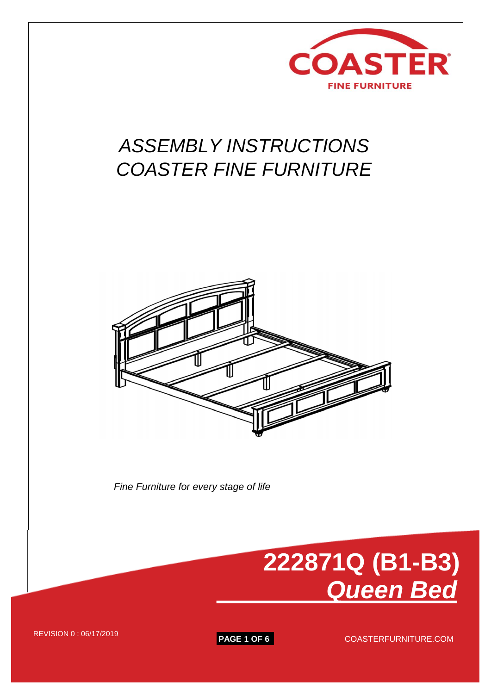

## *ASSEMBLY INSTRUCTIONS COASTER FINE FURNITURE*



*Fine Furniture for every stage of life*



REVISION 0 : 06/17/2019 **PAGE 1 OF 6** COASTERFURNITURE.COM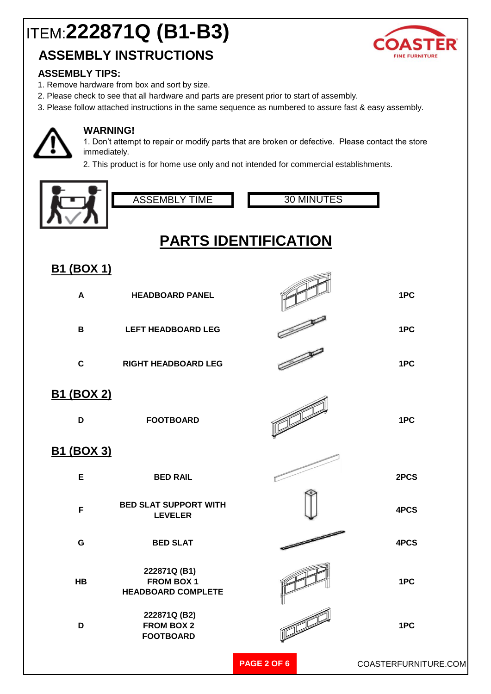### **ASSEMBLY INSTRUCTIONS**



#### **ASSEMBLY TIPS:**

- 1. Remove hardware from box and sort by size.
- 2. Please check to see that all hardware and parts are present prior to start of assembly.
- 3. Please follow attached instructions in the same sequence as numbered to assure fast & easy assembly.



#### **WARNING!**

1. Don't attempt to repair or modify parts that are broken or defective. Please contact the store immediately.

2. This product is for home use only and not intended for commercial establishments.



### **B1 (BOX 1)**

| <u>,,,,,,,,</u>        |                                                         |                    |                      |
|------------------------|---------------------------------------------------------|--------------------|----------------------|
| $\blacktriangle$       | <b>HEADBOARD PANEL</b>                                  |                    | 1PC                  |
| $\mathbf B$            | <b>LEFT HEADBOARD LEG</b>                               |                    | 1PC                  |
| $\mathbf C$            | <b>RIGHT HEADBOARD LEG</b>                              |                    | 1PC                  |
| <u>B1 (BOX 2)</u><br>D | <b>FOOTBOARD</b>                                        |                    | 1PC                  |
| <u>B1 (BOX 3)</u>      |                                                         |                    |                      |
| E                      | <b>BED RAIL</b>                                         |                    | 2PCS                 |
| F                      | <b>BED SLAT SUPPORT WITH</b><br><b>LEVELER</b>          |                    | 4PCS                 |
| $\mathbf G$            | <b>BED SLAT</b>                                         |                    | 4PCS                 |
| <b>HB</b>              | 222871Q (B1)<br>FROM BOX 1<br><b>HEADBOARD COMPLETE</b> |                    | 1PC                  |
| D                      | 222871Q (B2)<br><b>FROM BOX 2</b><br><b>FOOTBOARD</b>   |                    | 1PC                  |
|                        |                                                         | <b>PAGE 2 OF 6</b> | COASTERFURNITURE.COM |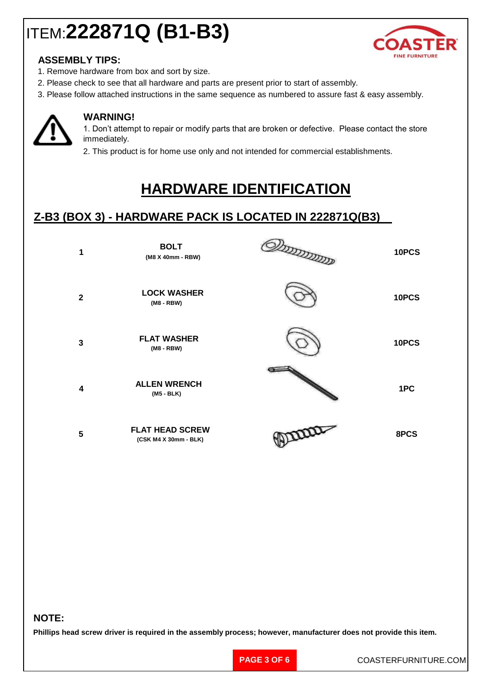

#### **ASSEMBLY TIPS:**

- 1. Remove hardware from box and sort by size.
- 2. Please check to see that all hardware and parts are present prior to start of assembly.
- 3. Please follow attached instructions in the same sequence as numbered to assure fast & easy assembly.



#### **WARNING!**

1. Don't attempt to repair or modify parts that are broken or defective. Please contact the store immediately.

2. This product is for home use only and not intended for commercial establishments.

## **HARDWARE IDENTIFICATION**

### **Z-B3 (BOX 3) - HARDWARE PACK IS LOCATED IN 222871Q(B3)**

| $\mathbf{1}$ | <b>BOLT</b><br>(M8 X 40mm - RBW)                | TATALOGIC | 10PCS |
|--------------|-------------------------------------------------|-----------|-------|
| $\mathbf{2}$ | <b>LOCK WASHER</b><br>(M8 - RBW)                |           | 10PCS |
| 3            | <b>FLAT WASHER</b><br>(M8 - RBW)                |           | 10PCS |
| 4            | <b>ALLEN WRENCH</b><br>$(M5 - BLK)$             |           | 1PC   |
| 5            | <b>FLAT HEAD SCREW</b><br>(CSK M4 X 30mm - BLK) | PRODUCE   | 8PCS  |

#### **NOTE:**

**Phillips head screw driver is required in the assembly process; however, manufacturer does not provide this item.**

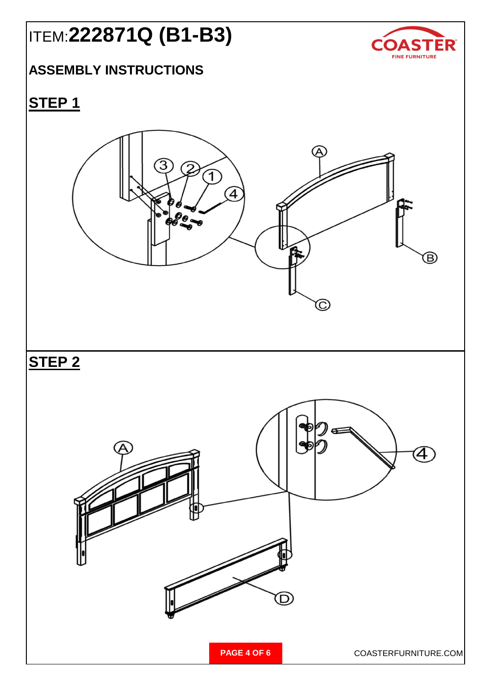

### **ASSEMBLY INSTRUCTIONS**

## **STEP 1**

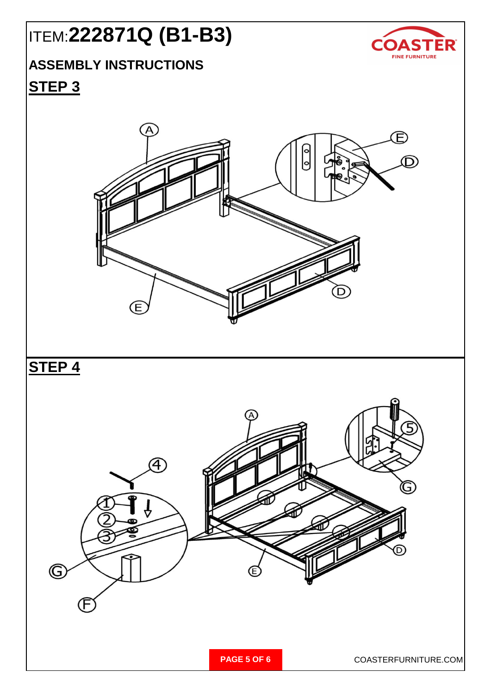

## **ASSEMBLY INSTRUCTIONS**

### **STEP 3**

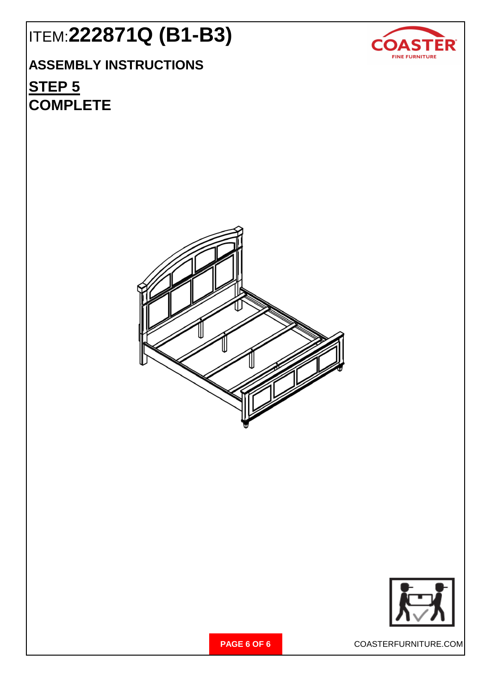## **ASSEMBLY INSTRUCTIONS**

## **STEP 5 COMPLETE**







**PAGE 6 OF 6** COASTERFURNITURE.COM